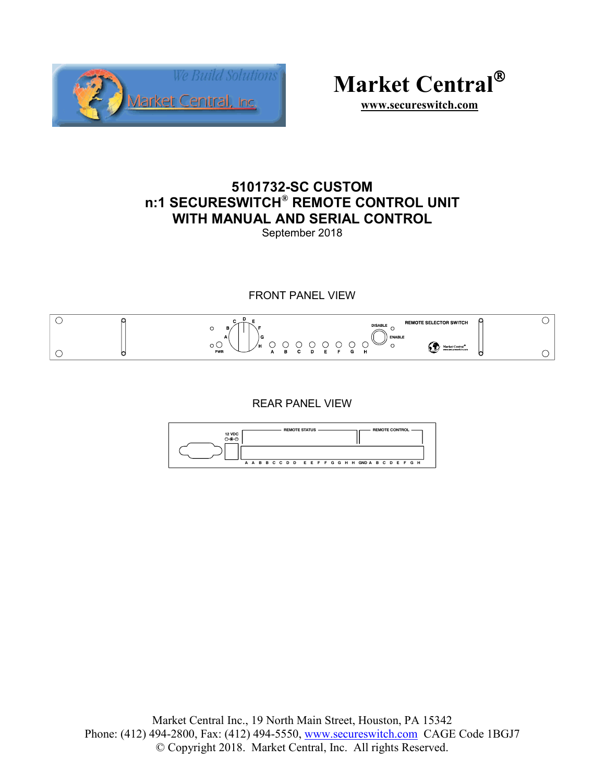



**www.secureswitch.com**

# **5101732-SC CUSTOM n:1 SECURESWITCH® REMOTE CONTROL UNIT WITH MANUAL AND SERIAL CONTROL**  September 2018

FRONT PANEL VIEW



REAR PANEL VIEW

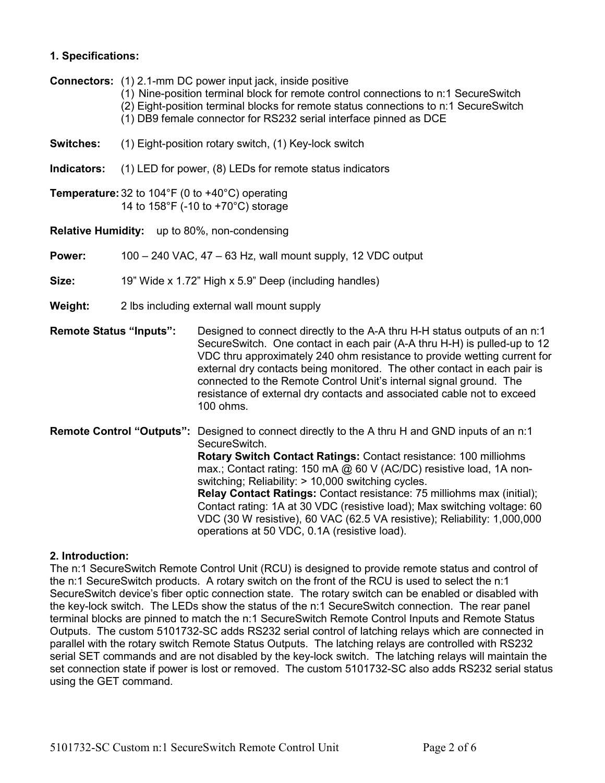## **1. Specifications:**

**Connectors:** (1) 2.1-mm DC power input jack, inside positive

- (1) Nine-position terminal block for remote control connections to n:1 SecureSwitch (2) Eight-position terminal blocks for remote status connections to n:1 SecureSwitch
- (1) DB9 female connector for RS232 serial interface pinned as DCE
- **Switches:** (1) Eight-position rotary switch, (1) Key-lock switch
- **Indicators:** (1) LED for power, (8) LEDs for remote status indicators
- **Temperature:** 32 to 104°F (0 to +40°C) operating 14 to 158°F (-10 to +70°C) storage
- **Relative Humidity:** up to 80%, non-condensing
- **Power:** 100 240 VAC, 47 63 Hz, wall mount supply, 12 VDC output
- **Size:** 19" Wide x 1.72" High x 5.9" Deep (including handles)
- **Weight:** 2 lbs including external wall mount supply
- **Remote Status "Inputs":** Designed to connect directly to the A-A thru H-H status outputs of an n:1 SecureSwitch. One contact in each pair (A-A thru H-H) is pulled-up to 12 VDC thru approximately 240 ohm resistance to provide wetting current for external dry contacts being monitored. The other contact in each pair is connected to the Remote Control Unit's internal signal ground. The resistance of external dry contacts and associated cable not to exceed 100 ohms.
- **Remote Control "Outputs":** Designed to connect directly to the A thru H and GND inputs of an n:1 SecureSwitch. **Rotary Switch Contact Ratings:** Contact resistance: 100 milliohms max.; Contact rating: 150 mA @ 60 V (AC/DC) resistive load, 1A nonswitching; Reliability: > 10,000 switching cycles.  **Relay Contact Ratings:** Contact resistance: 75 milliohms max (initial); Contact rating: 1A at 30 VDC (resistive load); Max switching voltage: 60 VDC (30 W resistive), 60 VAC (62.5 VA resistive); Reliability: 1,000,000 operations at 50 VDC, 0.1A (resistive load).

## **2. Introduction:**

The n:1 SecureSwitch Remote Control Unit (RCU) is designed to provide remote status and control of the n:1 SecureSwitch products. A rotary switch on the front of the RCU is used to select the n:1 SecureSwitch device's fiber optic connection state. The rotary switch can be enabled or disabled with the key-lock switch. The LEDs show the status of the n:1 SecureSwitch connection. The rear panel terminal blocks are pinned to match the n:1 SecureSwitch Remote Control Inputs and Remote Status Outputs. The custom 5101732-SC adds RS232 serial control of latching relays which are connected in parallel with the rotary switch Remote Status Outputs. The latching relays are controlled with RS232 serial SET commands and are not disabled by the key-lock switch. The latching relays will maintain the set connection state if power is lost or removed. The custom 5101732-SC also adds RS232 serial status using the GET command.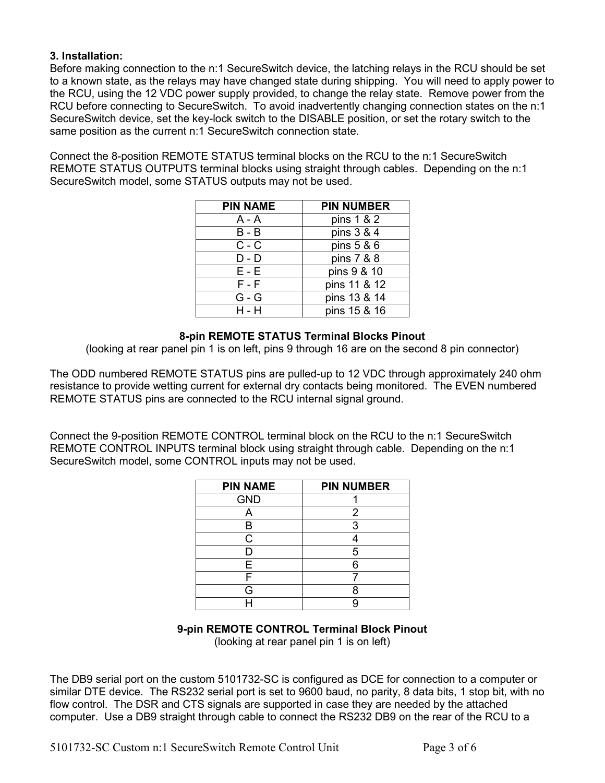## **3. Installation:**

Before making connection to the n:1 SecureSwitch device, the latching relays in the RCU should be set to a known state, as the relays may have changed state during shipping. You will need to apply power to the RCU, using the 12 VDC power supply provided, to change the relay state. Remove power from the RCU before connecting to SecureSwitch. To avoid inadvertently changing connection states on the n:1 SecureSwitch device, set the key-lock switch to the DISABLE position, or set the rotary switch to the same position as the current n:1 SecureSwitch connection state.

Connect the 8-position REMOTE STATUS terminal blocks on the RCU to the n:1 SecureSwitch REMOTE STATUS OUTPUTS terminal blocks using straight through cables. Depending on the n:1 SecureSwitch model, some STATUS outputs may not be used.

| <b>PIN NAME</b> | <b>PIN NUMBER</b> |
|-----------------|-------------------|
| A - A           | pins 1 & 2        |
| B - B           | pins 3 & 4        |
| $C - C$         | pins 5 & 6        |
| D - D           | pins 7 & 8        |
| $E - E$         | pins 9 & 10       |
| $F - F$         | pins 11 & 12      |
| $G - G$         | pins 13 & 14      |
| H - H           | pins 15 & 16      |

## **8-pin REMOTE STATUS Terminal Blocks Pinout**

(looking at rear panel pin 1 is on left, pins 9 through 16 are on the second 8 pin connector)

The ODD numbered REMOTE STATUS pins are pulled-up to 12 VDC through approximately 240 ohm resistance to provide wetting current for external dry contacts being monitored. The EVEN numbered REMOTE STATUS pins are connected to the RCU internal signal ground.

Connect the 9-position REMOTE CONTROL terminal block on the RCU to the n:1 SecureSwitch REMOTE CONTROL INPUTS terminal block using straight through cable. Depending on the n:1 SecureSwitch model, some CONTROL inputs may not be used.

| <b>PIN NAME</b> | <b>PIN NUMBER</b> |
|-----------------|-------------------|
| <b>GND</b>      |                   |
|                 | 2                 |
|                 | 3                 |
| C               |                   |
| D               | 5                 |
| Е               |                   |
|                 |                   |
| G               |                   |
|                 |                   |

## **9-pin REMOTE CONTROL Terminal Block Pinout**

(looking at rear panel pin 1 is on left)

The DB9 serial port on the custom 5101732-SC is configured as DCE for connection to a computer or similar DTE device. The RS232 serial port is set to 9600 baud, no parity, 8 data bits, 1 stop bit, with no flow control. The DSR and CTS signals are supported in case they are needed by the attached computer. Use a DB9 straight through cable to connect the RS232 DB9 on the rear of the RCU to a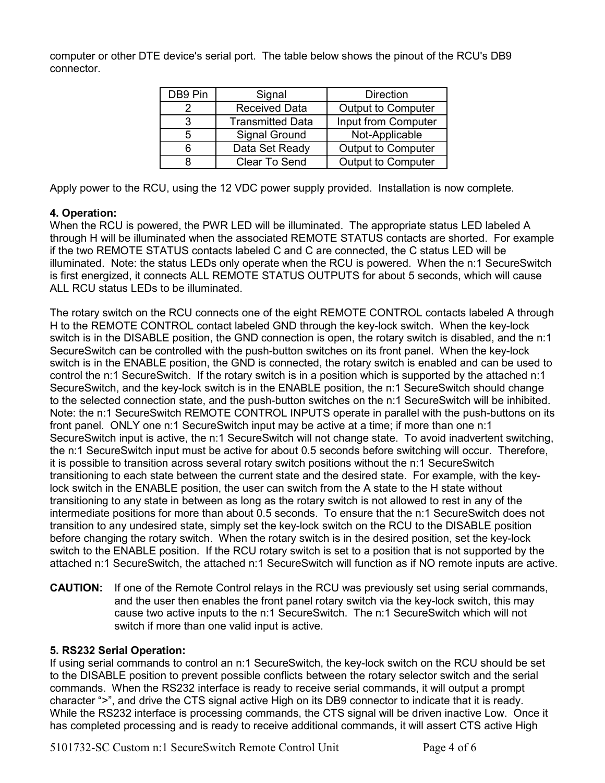computer or other DTE device's serial port. The table below shows the pinout of the RCU's DB9 connector.

| DB9 Pin | Signal                  | <b>Direction</b>          |
|---------|-------------------------|---------------------------|
|         | <b>Received Data</b>    | <b>Output to Computer</b> |
| ર       | <b>Transmitted Data</b> | Input from Computer       |
| 5       | Signal Ground           | Not-Applicable            |
|         | Data Set Ready          | Output to Computer        |
|         | <b>Clear To Send</b>    | <b>Output to Computer</b> |

Apply power to the RCU, using the 12 VDC power supply provided. Installation is now complete.

## **4. Operation:**

When the RCU is powered, the PWR LED will be illuminated. The appropriate status LED labeled A through H will be illuminated when the associated REMOTE STATUS contacts are shorted. For example if the two REMOTE STATUS contacts labeled C and C are connected, the C status LED will be illuminated. Note: the status LEDs only operate when the RCU is powered. When the n:1 SecureSwitch is first energized, it connects ALL REMOTE STATUS OUTPUTS for about 5 seconds, which will cause ALL RCU status LEDs to be illuminated.

The rotary switch on the RCU connects one of the eight REMOTE CONTROL contacts labeled A through H to the REMOTE CONTROL contact labeled GND through the key-lock switch. When the key-lock switch is in the DISABLE position, the GND connection is open, the rotary switch is disabled, and the n:1 SecureSwitch can be controlled with the push-button switches on its front panel. When the key-lock switch is in the ENABLE position, the GND is connected, the rotary switch is enabled and can be used to control the n:1 SecureSwitch. If the rotary switch is in a position which is supported by the attached n:1 SecureSwitch, and the key-lock switch is in the ENABLE position, the n:1 SecureSwitch should change to the selected connection state, and the push-button switches on the n:1 SecureSwitch will be inhibited. Note: the n:1 SecureSwitch REMOTE CONTROL INPUTS operate in parallel with the push-buttons on its front panel. ONLY one n:1 SecureSwitch input may be active at a time; if more than one n:1 SecureSwitch input is active, the n:1 SecureSwitch will not change state. To avoid inadvertent switching, the n:1 SecureSwitch input must be active for about 0.5 seconds before switching will occur. Therefore, it is possible to transition across several rotary switch positions without the n:1 SecureSwitch transitioning to each state between the current state and the desired state. For example, with the keylock switch in the ENABLE position, the user can switch from the A state to the H state without transitioning to any state in between as long as the rotary switch is not allowed to rest in any of the intermediate positions for more than about 0.5 seconds. To ensure that the n:1 SecureSwitch does not transition to any undesired state, simply set the key-lock switch on the RCU to the DISABLE position before changing the rotary switch. When the rotary switch is in the desired position, set the key-lock switch to the ENABLE position. If the RCU rotary switch is set to a position that is not supported by the attached n:1 SecureSwitch, the attached n:1 SecureSwitch will function as if NO remote inputs are active.

**CAUTION:** If one of the Remote Control relays in the RCU was previously set using serial commands, and the user then enables the front panel rotary switch via the key-lock switch, this may cause two active inputs to the n:1 SecureSwitch. The n:1 SecureSwitch which will not switch if more than one valid input is active.

## **5. RS232 Serial Operation:**

If using serial commands to control an n:1 SecureSwitch, the key-lock switch on the RCU should be set to the DISABLE position to prevent possible conflicts between the rotary selector switch and the serial commands. When the RS232 interface is ready to receive serial commands, it will output a prompt character ">", and drive the CTS signal active High on its DB9 connector to indicate that it is ready. While the RS232 interface is processing commands, the CTS signal will be driven inactive Low. Once it has completed processing and is ready to receive additional commands, it will assert CTS active High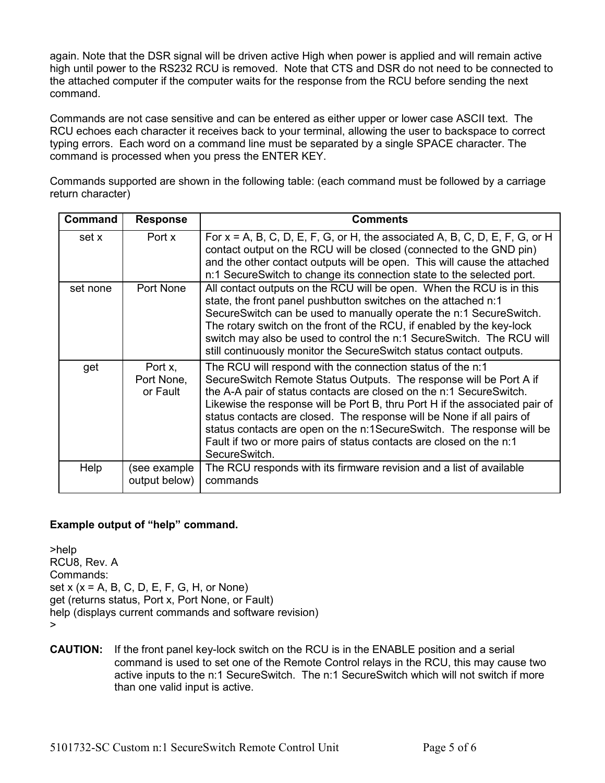again. Note that the DSR signal will be driven active High when power is applied and will remain active high until power to the RS232 RCU is removed. Note that CTS and DSR do not need to be connected to the attached computer if the computer waits for the response from the RCU before sending the next command.

Commands are not case sensitive and can be entered as either upper or lower case ASCII text. The RCU echoes each character it receives back to your terminal, allowing the user to backspace to correct typing errors. Each word on a command line must be separated by a single SPACE character. The command is processed when you press the ENTER KEY.

Commands supported are shown in the following table: (each command must be followed by a carriage return character)

| <b>Command</b> | <b>Response</b>                   | <b>Comments</b>                                                                                                                                                                                                                                                                                                                                                                                                                                                                                                                  |
|----------------|-----------------------------------|----------------------------------------------------------------------------------------------------------------------------------------------------------------------------------------------------------------------------------------------------------------------------------------------------------------------------------------------------------------------------------------------------------------------------------------------------------------------------------------------------------------------------------|
| set x          | Port x                            | For $x = A$ , B, C, D, E, F, G, or H, the associated A, B, C, D, E, F, G, or H<br>contact output on the RCU will be closed (connected to the GND pin)<br>and the other contact outputs will be open. This will cause the attached<br>n:1 SecureSwitch to change its connection state to the selected port.                                                                                                                                                                                                                       |
| set none       | Port None                         | All contact outputs on the RCU will be open. When the RCU is in this<br>state, the front panel pushbutton switches on the attached n:1<br>SecureSwitch can be used to manually operate the n:1 SecureSwitch.<br>The rotary switch on the front of the RCU, if enabled by the key-lock<br>switch may also be used to control the n:1 SecureSwitch. The RCU will<br>still continuously monitor the SecureSwitch status contact outputs.                                                                                            |
| get            | Port x,<br>Port None,<br>or Fault | The RCU will respond with the connection status of the n:1<br>SecureSwitch Remote Status Outputs. The response will be Port A if<br>the A-A pair of status contacts are closed on the n:1 SecureSwitch.<br>Likewise the response will be Port B, thru Port H if the associated pair of<br>status contacts are closed. The response will be None if all pairs of<br>status contacts are open on the n:1SecureSwitch. The response will be<br>Fault if two or more pairs of status contacts are closed on the n:1<br>SecureSwitch. |
| Help           | (see example<br>output below)     | The RCU responds with its firmware revision and a list of available<br>commands                                                                                                                                                                                                                                                                                                                                                                                                                                                  |

## **Example output of "help" command.**

>help RCU8, Rev. A Commands: set  $x$  ( $x = A$ ,  $B$ ,  $C$ ,  $D$ ,  $E$ ,  $F$ ,  $G$ ,  $H$ , or None) get (returns status, Port x, Port None, or Fault) help (displays current commands and software revision) >

**CAUTION:** If the front panel key-lock switch on the RCU is in the ENABLE position and a serial command is used to set one of the Remote Control relays in the RCU, this may cause two active inputs to the n:1 SecureSwitch. The n:1 SecureSwitch which will not switch if more than one valid input is active.